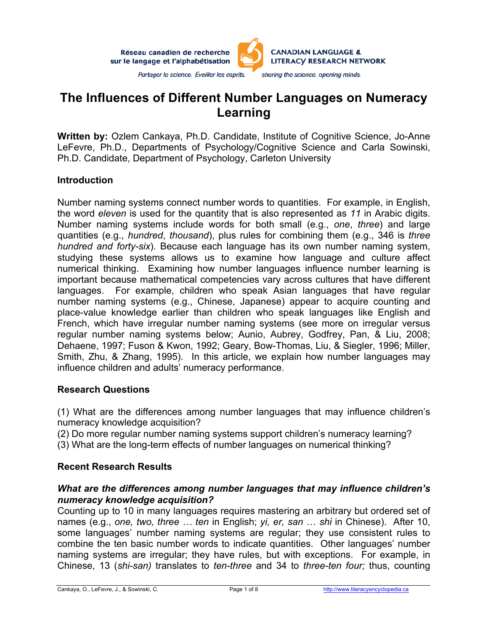Réseau canadien de recherche sur le langage et l'alphabétisation



# **The Influences of Different Number Languages on Numeracy Learning**

**Written by:** Ozlem Cankaya, Ph.D. Candidate, Institute of Cognitive Science, Jo-Anne LeFevre, Ph.D., Departments of Psychology/Cognitive Science and Carla Sowinski, Ph.D. Candidate, Department of Psychology, Carleton University

#### **Introduction**

Number naming systems connect number words to quantities. For example, in English, the word *eleven* is used for the quantity that is also represented as *11* in Arabic digits. Number naming systems include words for both small (e.g., *one*, *three*) and large quantities (e.g., *hundred*, *thousand*), plus rules for combining them (e.g., 346 is *three hundred and forty-six*). Because each language has its own number naming system, studying these systems allows us to examine how language and culture affect numerical thinking. Examining how number languages influence number learning is important because mathematical competencies vary across cultures that have different languages. For example, children who speak Asian languages that have regular number naming systems (e.g., Chinese, Japanese) appear to acquire counting and place-value knowledge earlier than children who speak languages like English and French, which have irregular number naming systems (see more on irregular versus regular number naming systems below; Aunio, Aubrey, Godfrey, Pan, & Liu, 2008; Dehaene, 1997; Fuson & Kwon, 1992; Geary, Bow-Thomas, Liu, & Siegler, 1996; Miller, Smith, Zhu, & Zhang, 1995). In this article, we explain how number languages may influence children and adults' numeracy performance.

#### **Research Questions**

(1) What are the differences among number languages that may influence children's numeracy knowledge acquisition?

(2) Do more regular number naming systems support children's numeracy learning?

(3) What are the long-term effects of number languages on numerical thinking?

## **Recent Research Results**

### *What are the differences among number languages that may influence children's numeracy knowledge acquisition?*

Counting up to 10 in many languages requires mastering an arbitrary but ordered set of names (e.g., *one, two, three … ten* in English; *yi, er, san* … *shi* in Chinese). After 10, some languages' number naming systems are regular; they use consistent rules to combine the ten basic number words to indicate quantities. Other languages' number naming systems are irregular; they have rules, but with exceptions. For example, in Chinese, 13 (*shi-san)* translates to *ten-three* and 34 to *three-ten four;* thus, counting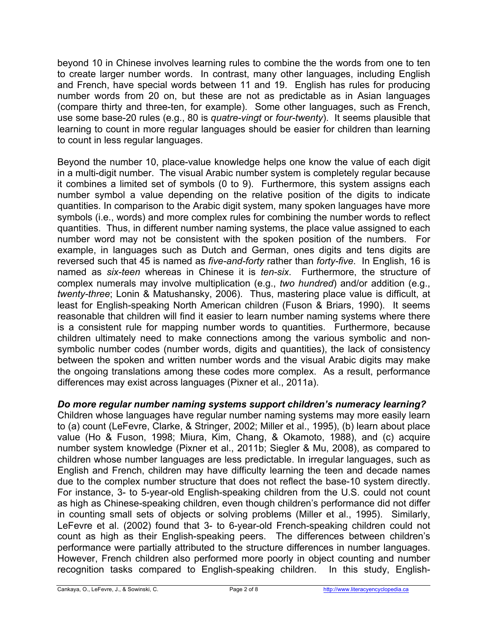beyond 10 in Chinese involves learning rules to combine the the words from one to ten to create larger number words. In contrast, many other languages, including English and French, have special words between 11 and 19. English has rules for producing number words from 20 on, but these are not as predictable as in Asian languages (compare thirty and three-ten, for example). Some other languages, such as French, use some base-20 rules (e.g., 80 is *quatre-vingt* or *four-twenty*). It seems plausible that learning to count in more regular languages should be easier for children than learning to count in less regular languages.

Beyond the number 10, place-value knowledge helps one know the value of each digit in a multi-digit number. The visual Arabic number system is completely regular because it combines a limited set of symbols (0 to 9). Furthermore, this system assigns each number symbol a value depending on the relative position of the digits to indicate quantities. In comparison to the Arabic digit system, many spoken languages have more symbols (i.e., words) and more complex rules for combining the number words to reflect quantities. Thus, in different number naming systems, the place value assigned to each number word may not be consistent with the spoken position of the numbers. For example, in languages such as Dutch and German, ones digits and tens digits are reversed such that 45 is named as *five-and-forty* rather than *forty-five*. In English, 16 is named as *six-teen* whereas in Chinese it is *ten-six*. Furthermore, the structure of complex numerals may involve multiplication (e.g., *two hundred*) and/or addition (e.g., *twenty-three*; Lonin & Matushansky, 2006). Thus, mastering place value is difficult, at least for English-speaking North American children (Fuson & Briars, 1990). It seems reasonable that children will find it easier to learn number naming systems where there is a consistent rule for mapping number words to quantities. Furthermore, because children ultimately need to make connections among the various symbolic and nonsymbolic number codes (number words, digits and quantities), the lack of consistency between the spoken and written number words and the visual Arabic digits may make the ongoing translations among these codes more complex. As a result, performance differences may exist across languages (Pixner et al., 2011a).

## *Do more regular number naming systems support children's numeracy learning?*

Children whose languages have regular number naming systems may more easily learn to (a) count (LeFevre, Clarke, & Stringer, 2002; Miller et al., 1995), (b) learn about place value (Ho & Fuson, 1998; Miura, Kim, Chang, & Okamoto, 1988), and (c) acquire number system knowledge (Pixner et al., 2011b; Siegler & Mu, 2008), as compared to children whose number languages are less predictable. In irregular languages, such as English and French, children may have difficulty learning the teen and decade names due to the complex number structure that does not reflect the base-10 system directly. For instance, 3- to 5-year-old English-speaking children from the U.S. could not count as high as Chinese-speaking children, even though children's performance did not differ in counting small sets of objects or solving problems (Miller et al., 1995). Similarly, LeFevre et al. (2002) found that 3- to 6-year-old French-speaking children could not count as high as their English-speaking peers. The differences between children's performance were partially attributed to the structure differences in number languages. However, French children also performed more poorly in object counting and number recognition tasks compared to English-speaking children. In this study, English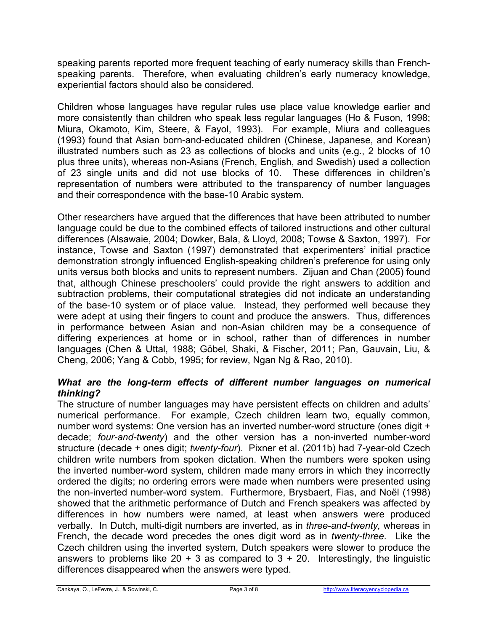speaking parents reported more frequent teaching of early numeracy skills than Frenchspeaking parents. Therefore, when evaluating children's early numeracy knowledge, experiential factors should also be considered.

Children whose languages have regular rules use place value knowledge earlier and more consistently than children who speak less regular languages (Ho & Fuson, 1998; Miura, Okamoto, Kim, Steere, & Fayol, 1993). For example, Miura and colleagues (1993) found that Asian born-and-educated children (Chinese, Japanese, and Korean) illustrated numbers such as 23 as collections of blocks and units (e.g., 2 blocks of 10 plus three units), whereas non-Asians (French, English, and Swedish) used a collection of 23 single units and did not use blocks of 10. These differences in children's representation of numbers were attributed to the transparency of number languages and their correspondence with the base-10 Arabic system.

Other researchers have argued that the differences that have been attributed to number language could be due to the combined effects of tailored instructions and other cultural differences (Alsawaie, 2004; Dowker, Bala, & Lloyd, 2008; Towse & Saxton, 1997). For instance, Towse and Saxton (1997) demonstrated that experimenters' initial practice demonstration strongly influenced English-speaking children's preference for using only units versus both blocks and units to represent numbers. Zijuan and Chan (2005) found that, although Chinese preschoolers' could provide the right answers to addition and subtraction problems, their computational strategies did not indicate an understanding of the base-10 system or of place value. Instead, they performed well because they were adept at using their fingers to count and produce the answers. Thus, differences in performance between Asian and non-Asian children may be a consequence of differing experiences at home or in school, rather than of differences in number languages (Chen & Uttal, 1988; Göbel, Shaki, & Fischer, 2011; Pan, Gauvain, Liu, & Cheng, 2006; Yang & Cobb, 1995; for review, Ngan Ng & Rao, 2010).

### *What are the long-term effects of different number languages on numerical thinking?*

The structure of number languages may have persistent effects on children and adults' numerical performance. For example, Czech children learn two, equally common, number word systems: One version has an inverted number-word structure (ones digit + decade; *four-and-twenty*) and the other version has a non-inverted number-word structure (decade + ones digit; *twenty-four*). Pixner et al. (2011b) had 7-year-old Czech children write numbers from spoken dictation. When the numbers were spoken using the inverted number-word system, children made many errors in which they incorrectly ordered the digits; no ordering errors were made when numbers were presented using the non-inverted number-word system. Furthermore, Brysbaert, Fias, and Noël (1998) showed that the arithmetic performance of Dutch and French speakers was affected by differences in how numbers were named, at least when answers were produced verbally. In Dutch, multi-digit numbers are inverted, as in *three-and-twenty,* whereas in French, the decade word precedes the ones digit word as in *twenty-three*. Like the Czech children using the inverted system, Dutch speakers were slower to produce the answers to problems like  $20 + 3$  as compared to  $3 + 20$ . Interestingly, the linguistic differences disappeared when the answers were typed.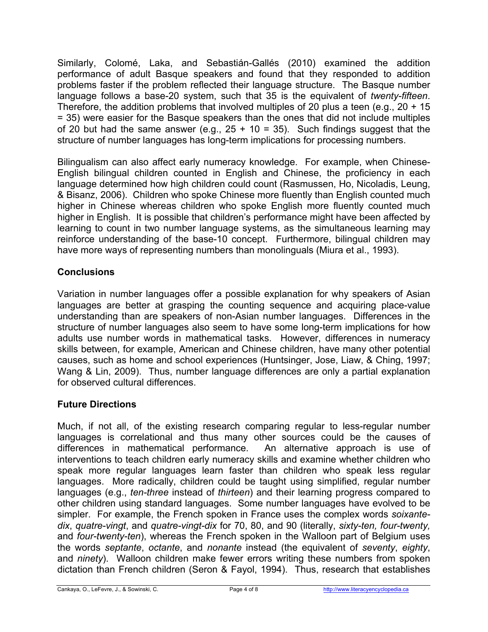Similarly, Colomé, Laka, and Sebastián-Gallés (2010) examined the addition performance of adult Basque speakers and found that they responded to addition problems faster if the problem reflected their language structure. The Basque number language follows a base-20 system, such that 35 is the equivalent of *twenty-fifteen*. Therefore, the addition problems that involved multiples of 20 plus a teen (e.g.,  $20 + 15$ ) = 35) were easier for the Basque speakers than the ones that did not include multiples of 20 but had the same answer (e.g.,  $25 + 10 = 35$ ). Such findings suggest that the structure of number languages has long-term implications for processing numbers.

Bilingualism can also affect early numeracy knowledge. For example, when Chinese-English bilingual children counted in English and Chinese, the proficiency in each language determined how high children could count (Rasmussen, Ho, Nicoladis, Leung, & Bisanz, 2006). Children who spoke Chinese more fluently than English counted much higher in Chinese whereas children who spoke English more fluently counted much higher in English. It is possible that children's performance might have been affected by learning to count in two number language systems, as the simultaneous learning may reinforce understanding of the base-10 concept. Furthermore, bilingual children may have more ways of representing numbers than monolinguals (Miura et al., 1993).

# **Conclusions**

Variation in number languages offer a possible explanation for why speakers of Asian languages are better at grasping the counting sequence and acquiring place-value understanding than are speakers of non-Asian number languages. Differences in the structure of number languages also seem to have some long-term implications for how adults use number words in mathematical tasks. However, differences in numeracy skills between, for example, American and Chinese children, have many other potential causes, such as home and school experiences (Huntsinger, Jose, Liaw, & Ching, 1997; Wang & Lin, 2009). Thus, number language differences are only a partial explanation for observed cultural differences.

# **Future Directions**

Much, if not all, of the existing research comparing regular to less-regular number languages is correlational and thus many other sources could be the causes of differences in mathematical performance. An alternative approach is use of interventions to teach children early numeracy skills and examine whether children who speak more regular languages learn faster than children who speak less regular languages. More radically, children could be taught using simplified, regular number languages (e.g., *ten-three* instead of *thirteen*) and their learning progress compared to other children using standard languages. Some number languages have evolved to be simpler. For example, the French spoken in France uses the complex words *soixantedix*, *quatre-vingt*, and *quatre-vingt-dix* for 70, 80, and 90 (literally, *sixty-ten, four-twenty,* and *four-twenty-ten*), whereas the French spoken in the Walloon part of Belgium uses the words *septante*, *octante*, and *nonante* instead (the equivalent of *seventy*, *eighty*, and *ninety*). Walloon children make fewer errors writing these numbers from spoken dictation than French children (Seron & Fayol, 1994). Thus, research that establishes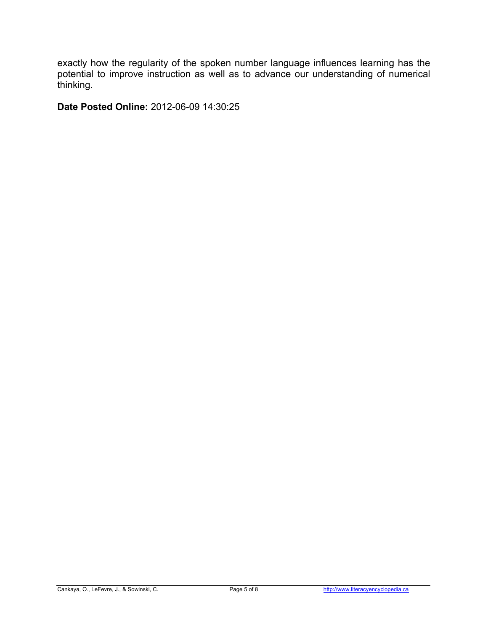exactly how the regularity of the spoken number language influences learning has the potential to improve instruction as well as to advance our understanding of numerical thinking.

**Date Posted Online:** 2012-06-09 14:30:25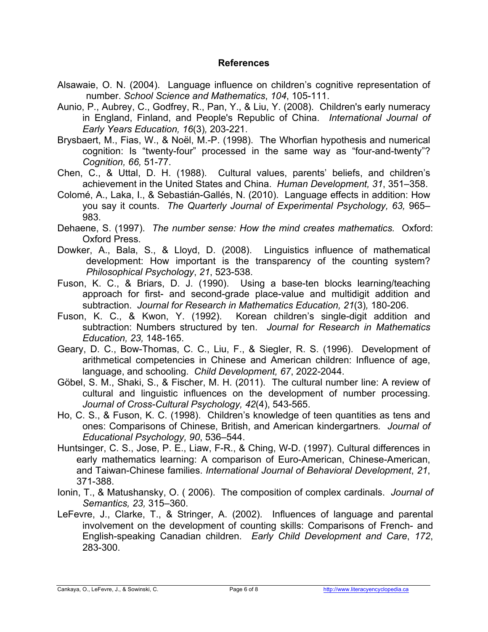#### **References**

- Alsawaie, O. N. (2004). Language influence on children's cognitive representation of number. *School Science and Mathematics*, *104*, 105-111.
- Aunio, P., Aubrey, C., Godfrey, R., Pan, Y., & Liu, Y. (2008). Children's early numeracy in England, Finland, and People's Republic of China. *International Journal of Early Years Education, 16*(3)*,* 203-221.
- Brysbaert, M., Fias, W., & Noël, M.-P. (1998). The Whorfian hypothesis and numerical cognition: Is "twenty-four" processed in the same way as "four-and-twenty"? *Cognition, 66,* 51-77.
- Chen, C., & Uttal, D. H. (1988). Cultural values, parents' beliefs, and children's achievement in the United States and China. *Human Development, 31*, 351–358.
- Colomé, A., Laka, I., & Sebastián-Gallés, N. (2010). Language effects in addition: How you say it counts. *The Quarterly Journal of Experimental Psychology, 63,* 965– 983.
- Dehaene, S. (1997). *The number sense: How the mind creates mathematics.* Oxford: Oxford Press.
- Dowker, A., Bala, S., & Lloyd, D. (2008). Linguistics influence of mathematical development: How important is the transparency of the counting system? *Philosophical Psychology*, *21*, 523-538.
- Fuson, K. C., & Briars, D. J. (1990). Using a base-ten blocks learning/teaching approach for first- and second-grade place-value and multidigit addition and subtraction. *Journal for Research in Mathematics Education, 21*(3)*,* 180-206.
- Fuson, K. C., & Kwon, Y. (1992). Korean children's single-digit addition and subtraction: Numbers structured by ten. *Journal for Research in Mathematics Education, 23,* 148-165.
- Geary, D. C., Bow-Thomas, C. C., Liu, F., & Siegler, R. S. (1996). Development of arithmetical competencies in Chinese and American children: Influence of age, language, and schooling. *Child Development, 67*, 2022-2044.
- Göbel, S. M., Shaki, S., & Fischer, M. H. (2011). The cultural number line: A review of cultural and linguistic influences on the development of number processing. *Journal of Cross-Cultural Psychology, 42*(4), 543-565.
- Ho, C. S., & Fuson, K. C. (1998). Children's knowledge of teen quantities as tens and ones: Comparisons of Chinese, British, and American kindergartners*. Journal of Educational Psychology, 90*, 536–544.
- Huntsinger, C. S., Jose, P. E., Liaw, F-R., & Ching, W-D. (1997). Cultural differences in early mathematics learning: A comparison of Euro-American, Chinese-American, and Taiwan-Chinese families. *International Journal of Behavioral Development*, *21*, 371-388.
- Ionin, T., & Matushansky, O. ( 2006). The composition of complex cardinals. *Journal of Semantics, 23,* 315–360.
- LeFevre, J., Clarke, T., & Stringer, A. (2002). Influences of language and parental involvement on the development of counting skills: Comparisons of French- and English-speaking Canadian children. *Early Child Development and Care*, *172*, 283-300.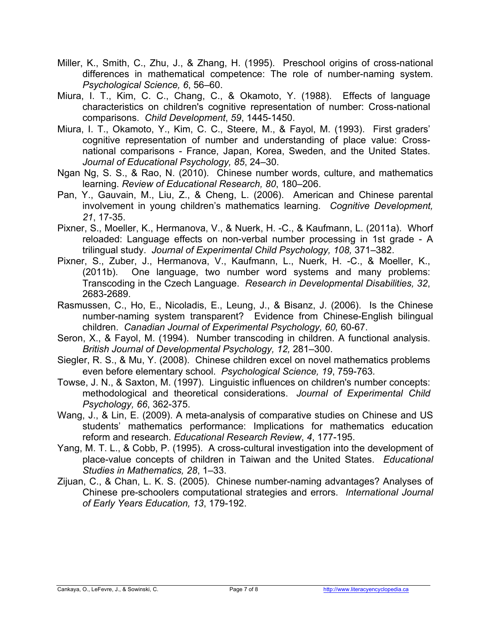- Miller, K., Smith, C., Zhu, J., & Zhang, H. (1995). Preschool origins of cross-national differences in mathematical competence: The role of number-naming system. *Psychological Science, 6*, 56–60.
- Miura, I. T., Kim, C. C., Chang, C., & Okamoto, Y. (1988). Effects of language characteristics on children's cognitive representation of number: Cross-national comparisons. *Child Development*, *59*, 1445-1450.
- Miura, I. T., Okamoto, Y., Kim, C. C., Steere, M., & Fayol, M. (1993). First graders' cognitive representation of number and understanding of place value: Crossnational comparisons - France, Japan, Korea, Sweden, and the United States. *Journal of Educational Psychology, 85*, 24–30.
- Ngan Ng, S. S., & Rao, N. (2010). Chinese number words, culture, and mathematics learning. *Review of Educational Research, 80*, 180–206.
- Pan, Y., Gauvain, M., Liu, Z., & Cheng, L. (2006). American and Chinese parental involvement in young children's mathematics learning. *Cognitive Development, 21*, 17-35.
- Pixner, S., Moeller, K., Hermanova, V., & Nuerk, H. -C., & Kaufmann, L. (2011a). Whorf reloaded: Language effects on non-verbal number processing in 1st grade - A trilingual study. *Journal of Experimental Child Psychology, 108,* 371–382.
- Pixner, S., Zuber, J., Hermanova, V., Kaufmann, L., Nuerk, H. -C., & Moeller, K., (2011b). One language, two number word systems and many problems: Transcoding in the Czech Language. *Research in Developmental Disabilities, 32*, 2683-2689.
- Rasmussen, C., Ho, E., Nicoladis, E., Leung, J., & Bisanz, J. (2006). Is the Chinese number-naming system transparent? Evidence from Chinese-English bilingual children. *Canadian Journal of Experimental Psychology, 60,* 60-67.
- Seron, X., & Fayol, M. (1994). Number transcoding in children. A functional analysis. *British Journal of Developmental Psychology, 12,* 281–300.
- Siegler, R. S., & Mu, Y. (2008). Chinese children excel on novel mathematics problems even before elementary school. *Psychological Science, 19*, 759-763*.*
- Towse, J. N., & Saxton, M. (1997). Linguistic influences on children's number concepts: methodological and theoretical considerations. *Journal of Experimental Child Psychology, 66*, 362-375.
- Wang, J., & Lin, E. (2009). A meta-analysis of comparative studies on Chinese and US students' mathematics performance: Implications for mathematics education reform and research. *Educational Research Review*, *4*, 177-195.
- Yang, M. T. L., & Cobb, P. (1995). A cross-cultural investigation into the development of place-value concepts of children in Taiwan and the United States. *Educational Studies in Mathematics, 28*, 1–33.
- Zijuan, C., & Chan, L. K. S. (2005). Chinese number-naming advantages? Analyses of Chinese pre-schoolers computational strategies and errors. *International Journal of Early Years Education, 13*, 179-192.